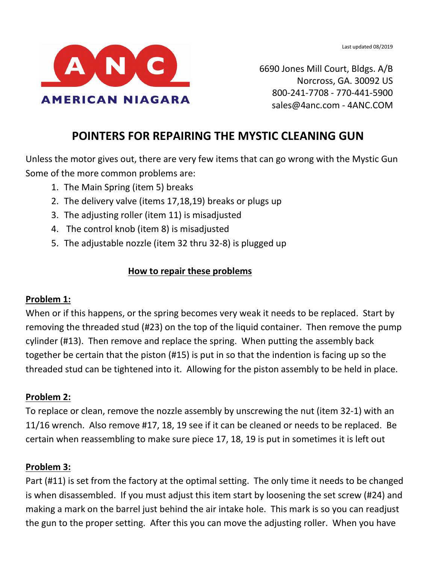

6690 Jones Mill Court, Bldgs. A/B Norcross, GA. 30092 US 800-241-7708 - 770-441-5900 sales@4anc.com - 4ANC.COM

# **POINTERS FOR REPAIRING THE MYSTIC CLEANING GUN**

Unless the motor gives out, there are very few items that can go wrong with the Mystic Gun Some of the more common problems are:

- 1. The Main Spring (item 5) breaks
- 2. The delivery valve (items 17,18,19) breaks or plugs up
- 3. The adjusting roller (item 11) is misadjusted
- 4. The control knob (item 8) is misadjusted
- 5. The adjustable nozzle (item 32 thru 32-8) is plugged up

#### **How to repair these problems**

#### **Problem 1:**

When or if this happens, or the spring becomes very weak it needs to be replaced. Start by removing the threaded stud (#23) on the top of the liquid container. Then remove the pump cylinder (#13). Then remove and replace the spring. When putting the assembly back together be certain that the piston (#15) is put in so that the indention is facing up so the threaded stud can be tightened into it. Allowing for the piston assembly to be held in place.

#### **Problem 2:**

To replace or clean, remove the nozzle assembly by unscrewing the nut (item 32-1) with an 11/16 wrench. Also remove #17, 18, 19 see if it can be cleaned or needs to be replaced. Be certain when reassembling to make sure piece 17, 18, 19 is put in sometimes it is left out

#### **Problem 3:**

Part (#11) is set from the factory at the optimal setting. The only time it needs to be changed is when disassembled. If you must adjust this item start by loosening the set screw (#24) and making a mark on the barrel just behind the air intake hole. This mark is so you can readjust the gun to the proper setting. After this you can move the adjusting roller. When you have